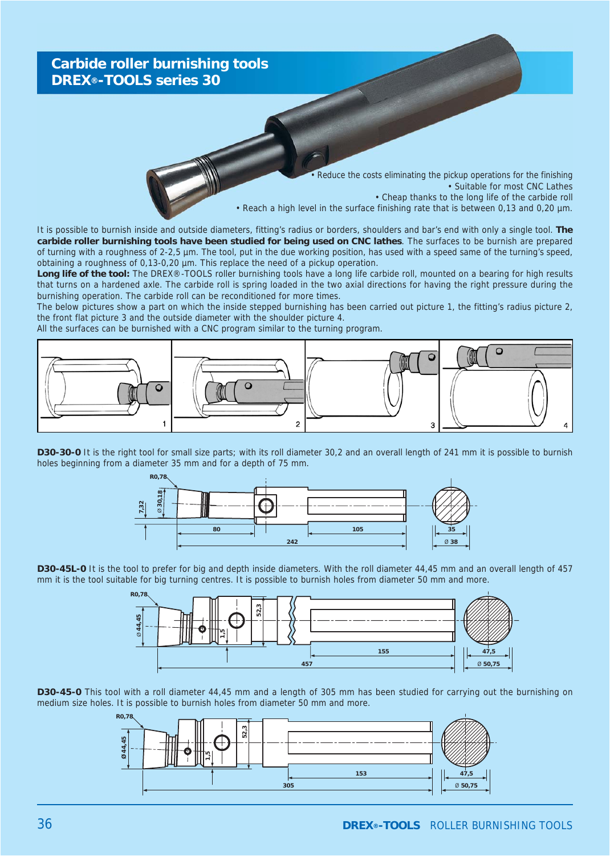

It is possible to burnish inside and outside diameters, fitting's radius or borders, shoulders and bar's end with only a single tool. **The carbide roller burnishing tools have been studied for being used on CNC lathes**. The surfaces to be burnish are prepared of turning with a roughness of 2-2,5 µm. The tool, put in the due working position, has used with a speed same of the turning's speed, obtaining a roughness of 0,13-0,20 µm. This replace the need of a pickup operation.

Long life of the tool: The DREX®-TOOLS roller burnishing tools have a long life carbide roll, mounted on a bearing for high results that turns on a hardened axle. The carbide roll is spring loaded in the two axial directions for having the right pressure during the burnishing operation. The carbide roll can be reconditioned for more times.

The below pictures show a part on which the inside stepped burnishing has been carried out picture 1, the fitting's radius picture 2, the front flat picture 3 and the outside diameter with the shoulder picture 4.

All the surfaces can be burnished with a CNC program similar to the turning program.







**D30-45L-0** It is the tool to prefer for big and depth inside diameters. With the roll diameter 44,45 mm and an overall length of 457 mm it is the tool suitable for big turning centres. It is possible to burnish holes from diameter 50 mm and more.



**D30-45-0** This tool with a roll diameter 44,45 mm and a length of 305 mm has been studied for carrying out the burnishing on medium size holes. It is possible to burnish holes from diameter 50 mm and more.